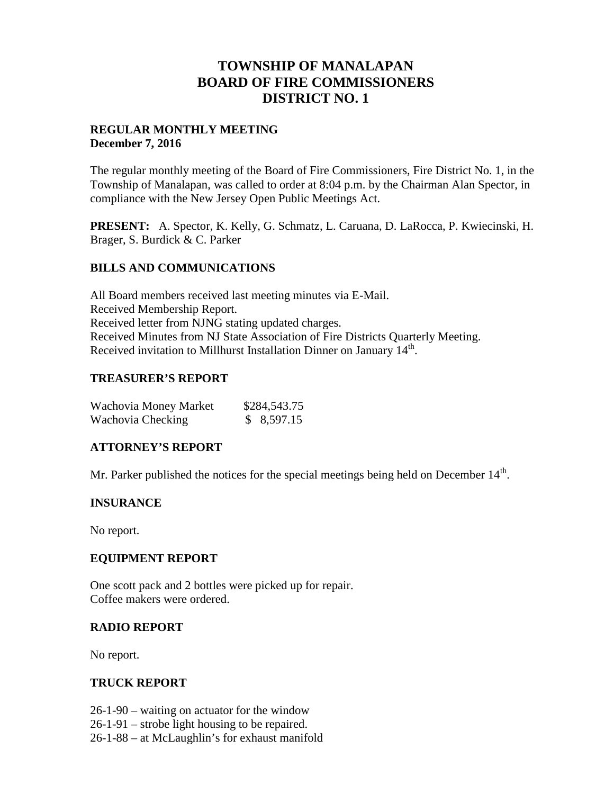# **TOWNSHIP OF MANALAPAN BOARD OF FIRE COMMISSIONERS DISTRICT NO. 1**

# **REGULAR MONTHLY MEETING December 7, 2016**

The regular monthly meeting of the Board of Fire Commissioners, Fire District No. 1, in the Township of Manalapan, was called to order at 8:04 p.m. by the Chairman Alan Spector, in compliance with the New Jersey Open Public Meetings Act.

**PRESENT:** A. Spector, K. Kelly, G. Schmatz, L. Caruana, D. LaRocca, P. Kwiecinski, H. Brager, S. Burdick & C. Parker

#### **BILLS AND COMMUNICATIONS**

All Board members received last meeting minutes via E-Mail. Received Membership Report. Received letter from NJNG stating updated charges. Received Minutes from NJ State Association of Fire Districts Quarterly Meeting. Received invitation to Millhurst Installation Dinner on January  $14<sup>th</sup>$ .

# **TREASURER'S REPORT**

| Wachovia Money Market | \$284,543.75 |
|-----------------------|--------------|
| Wachovia Checking     | \$8,597.15   |

# **ATTORNEY'S REPORT**

Mr. Parker published the notices for the special meetings being held on December  $14<sup>th</sup>$ .

#### **INSURANCE**

No report.

#### **EQUIPMENT REPORT**

One scott pack and 2 bottles were picked up for repair. Coffee makers were ordered.

#### **RADIO REPORT**

No report.

#### **TRUCK REPORT**

- 26-1-90 waiting on actuator for the window
- 26-1-91 strobe light housing to be repaired.
- 26-1-88 at McLaughlin's for exhaust manifold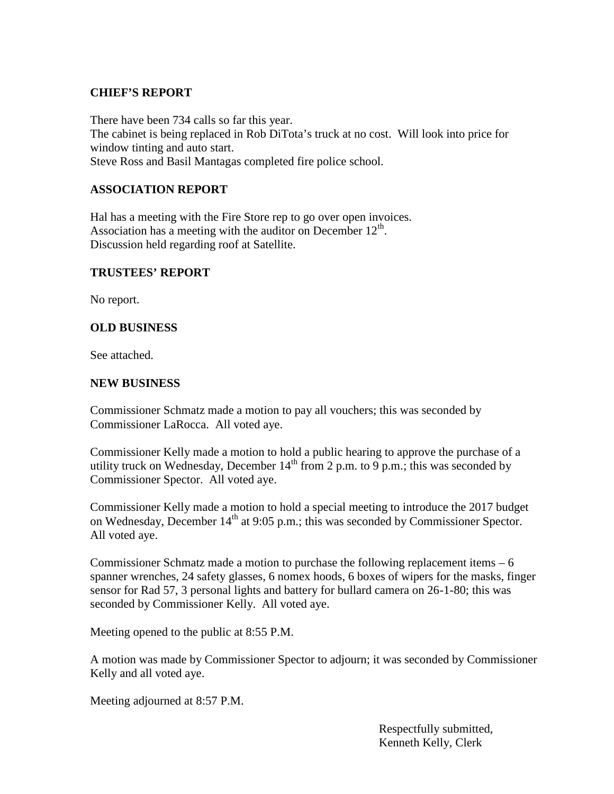# **CHIEF'S REPORT**

There have been 734 calls so far this year. The cabinet is being replaced in Rob DiTota's truck at no cost. Will look into price for window tinting and auto start. Steve Ross and Basil Mantagas completed fire police school.

# **ASSOCIATION REPORT**

Hal has a meeting with the Fire Store rep to go over open invoices. Association has a meeting with the auditor on December  $12<sup>th</sup>$ . Discussion held regarding roof at Satellite.

#### **TRUSTEES' REPORT**

No report.

# **OLD BUSINESS**

See attached.

#### **NEW BUSINESS**

Commissioner Schmatz made a motion to pay all vouchers; this was seconded by Commissioner LaRocca. All voted aye.

Commissioner Kelly made a motion to hold a public hearing to approve the purchase of a utility truck on Wednesday, December  $14<sup>th</sup>$  from 2 p.m. to 9 p.m.; this was seconded by Commissioner Spector. All voted aye.

Commissioner Kelly made a motion to hold a special meeting to introduce the 2017 budget on Wednesday, December  $14<sup>th</sup>$  at 9:05 p.m.; this was seconded by Commissioner Spector. All voted aye.

Commissioner Schmatz made a motion to purchase the following replacement items  $-6$ spanner wrenches, 24 safety glasses, 6 nomex hoods, 6 boxes of wipers for the masks, finger sensor for Rad 57, 3 personal lights and battery for bullard camera on 26-1-80; this was seconded by Commissioner Kelly. All voted aye.

Meeting opened to the public at 8:55 P.M.

A motion was made by Commissioner Spector to adjourn; it was seconded by Commissioner Kelly and all voted aye.

Meeting adjourned at 8:57 P.M.

Respectfully submitted, Kenneth Kelly, Clerk